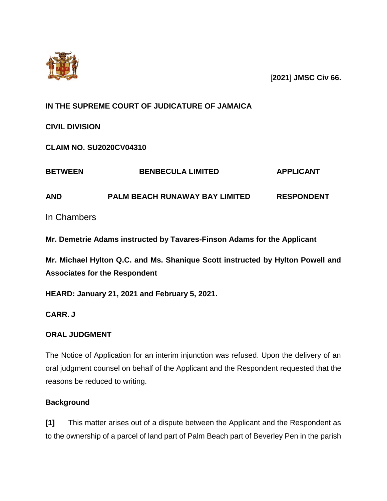

[**2021**] **JMSC Civ 66.**

# **IN THE SUPREME COURT OF JUDICATURE OF JAMAICA**

**CIVIL DIVISION**

**CLAIM NO. SU2020CV04310**

| <b>BETWEEN</b><br><b>AND</b> | <b>BENBECULA LIMITED</b>              | <b>APPLICANT</b>  |
|------------------------------|---------------------------------------|-------------------|
|                              | <b>PALM BEACH RUNAWAY BAY LIMITED</b> | <b>RESPONDENT</b> |
| In Chambers                  |                                       |                   |

**Mr. Demetrie Adams instructed by Tavares-Finson Adams for the Applicant** 

**Mr. Michael Hylton Q.C. and Ms. Shanique Scott instructed by Hylton Powell and Associates for the Respondent**

**HEARD: January 21, 2021 and February 5, 2021.**

**CARR. J**

# **ORAL JUDGMENT**

The Notice of Application for an interim injunction was refused. Upon the delivery of an oral judgment counsel on behalf of the Applicant and the Respondent requested that the reasons be reduced to writing.

# **Background**

**[1]** This matter arises out of a dispute between the Applicant and the Respondent as to the ownership of a parcel of land part of Palm Beach part of Beverley Pen in the parish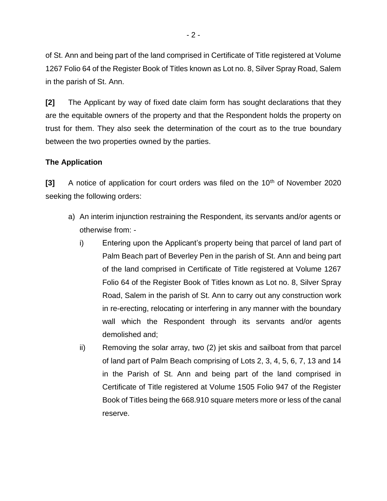of St. Ann and being part of the land comprised in Certificate of Title registered at Volume 1267 Folio 64 of the Register Book of Titles known as Lot no. 8, Silver Spray Road, Salem in the parish of St. Ann.

**[2]** The Applicant by way of fixed date claim form has sought declarations that they are the equitable owners of the property and that the Respondent holds the property on trust for them. They also seek the determination of the court as to the true boundary between the two properties owned by the parties.

## **The Application**

**[3]** A notice of application for court orders was filed on the 10<sup>th</sup> of November 2020 seeking the following orders:

- a) An interim injunction restraining the Respondent, its servants and/or agents or otherwise from:
	- i) Entering upon the Applicant's property being that parcel of land part of Palm Beach part of Beverley Pen in the parish of St. Ann and being part of the land comprised in Certificate of Title registered at Volume 1267 Folio 64 of the Register Book of Titles known as Lot no. 8, Silver Spray Road, Salem in the parish of St. Ann to carry out any construction work in re-erecting, relocating or interfering in any manner with the boundary wall which the Respondent through its servants and/or agents demolished and;
	- ii) Removing the solar array, two (2) jet skis and sailboat from that parcel of land part of Palm Beach comprising of Lots 2, 3, 4, 5, 6, 7, 13 and 14 in the Parish of St. Ann and being part of the land comprised in Certificate of Title registered at Volume 1505 Folio 947 of the Register Book of Titles being the 668.910 square meters more or less of the canal reserve.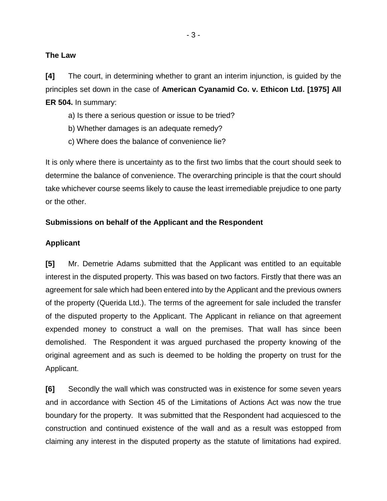#### **The Law**

**[4]** The court, in determining whether to grant an interim injunction, is guided by the principles set down in the case of **American Cyanamid Co. v. Ethicon Ltd. [1975] All ER 504.** In summary:

- a) Is there a serious question or issue to be tried?
- b) Whether damages is an adequate remedy?
- c) Where does the balance of convenience lie?

It is only where there is uncertainty as to the first two limbs that the court should seek to determine the balance of convenience. The overarching principle is that the court should take whichever course seems likely to cause the least irremediable prejudice to one party or the other.

#### **Submissions on behalf of the Applicant and the Respondent**

#### **Applicant**

**[5]** Mr. Demetrie Adams submitted that the Applicant was entitled to an equitable interest in the disputed property. This was based on two factors. Firstly that there was an agreement for sale which had been entered into by the Applicant and the previous owners of the property (Querida Ltd.). The terms of the agreement for sale included the transfer of the disputed property to the Applicant. The Applicant in reliance on that agreement expended money to construct a wall on the premises. That wall has since been demolished. The Respondent it was argued purchased the property knowing of the original agreement and as such is deemed to be holding the property on trust for the Applicant.

**[6]** Secondly the wall which was constructed was in existence for some seven years and in accordance with Section 45 of the Limitations of Actions Act was now the true boundary for the property. It was submitted that the Respondent had acquiesced to the construction and continued existence of the wall and as a result was estopped from claiming any interest in the disputed property as the statute of limitations had expired.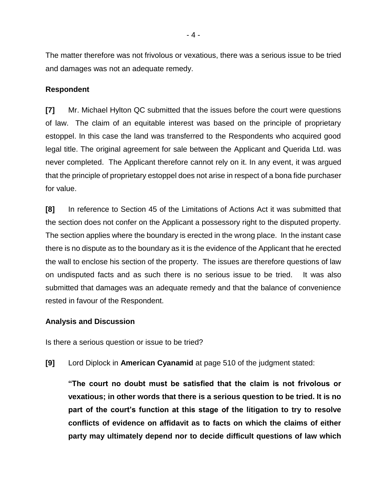The matter therefore was not frivolous or vexatious, there was a serious issue to be tried and damages was not an adequate remedy.

#### **Respondent**

**[7]** Mr. Michael Hylton QC submitted that the issues before the court were questions of law. The claim of an equitable interest was based on the principle of proprietary estoppel. In this case the land was transferred to the Respondents who acquired good legal title. The original agreement for sale between the Applicant and Querida Ltd. was never completed. The Applicant therefore cannot rely on it. In any event, it was argued that the principle of proprietary estoppel does not arise in respect of a bona fide purchaser for value.

**[8]** In reference to Section 45 of the Limitations of Actions Act it was submitted that the section does not confer on the Applicant a possessory right to the disputed property. The section applies where the boundary is erected in the wrong place. In the instant case there is no dispute as to the boundary as it is the evidence of the Applicant that he erected the wall to enclose his section of the property. The issues are therefore questions of law on undisputed facts and as such there is no serious issue to be tried. It was also submitted that damages was an adequate remedy and that the balance of convenience rested in favour of the Respondent.

#### **Analysis and Discussion**

Is there a serious question or issue to be tried?

**[9]** Lord Diplock in **American Cyanamid** at page 510 of the judgment stated:

**"The court no doubt must be satisfied that the claim is not frivolous or vexatious; in other words that there is a serious question to be tried. It is no part of the court's function at this stage of the litigation to try to resolve conflicts of evidence on affidavit as to facts on which the claims of either party may ultimately depend nor to decide difficult questions of law which**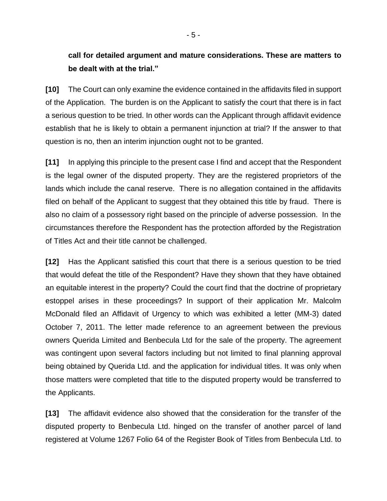# **call for detailed argument and mature considerations. These are matters to be dealt with at the trial."**

**[10]** The Court can only examine the evidence contained in the affidavits filed in support of the Application. The burden is on the Applicant to satisfy the court that there is in fact a serious question to be tried. In other words can the Applicant through affidavit evidence establish that he is likely to obtain a permanent injunction at trial? If the answer to that question is no, then an interim injunction ought not to be granted.

**[11]** In applying this principle to the present case I find and accept that the Respondent is the legal owner of the disputed property. They are the registered proprietors of the lands which include the canal reserve. There is no allegation contained in the affidavits filed on behalf of the Applicant to suggest that they obtained this title by fraud. There is also no claim of a possessory right based on the principle of adverse possession. In the circumstances therefore the Respondent has the protection afforded by the Registration of Titles Act and their title cannot be challenged.

**[12]** Has the Applicant satisfied this court that there is a serious question to be tried that would defeat the title of the Respondent? Have they shown that they have obtained an equitable interest in the property? Could the court find that the doctrine of proprietary estoppel arises in these proceedings? In support of their application Mr. Malcolm McDonald filed an Affidavit of Urgency to which was exhibited a letter (MM-3) dated October 7, 2011. The letter made reference to an agreement between the previous owners Querida Limited and Benbecula Ltd for the sale of the property. The agreement was contingent upon several factors including but not limited to final planning approval being obtained by Querida Ltd. and the application for individual titles. It was only when those matters were completed that title to the disputed property would be transferred to the Applicants.

**[13]** The affidavit evidence also showed that the consideration for the transfer of the disputed property to Benbecula Ltd. hinged on the transfer of another parcel of land registered at Volume 1267 Folio 64 of the Register Book of Titles from Benbecula Ltd. to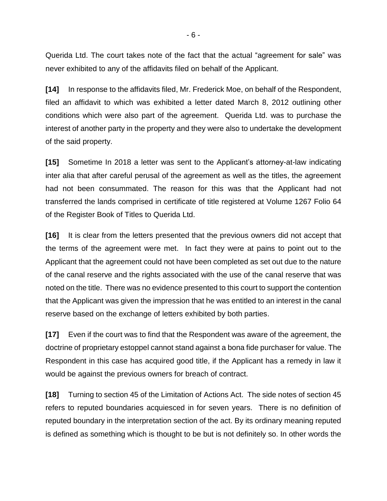Querida Ltd. The court takes note of the fact that the actual "agreement for sale" was never exhibited to any of the affidavits filed on behalf of the Applicant.

**[14]** In response to the affidavits filed, Mr. Frederick Moe, on behalf of the Respondent, filed an affidavit to which was exhibited a letter dated March 8, 2012 outlining other conditions which were also part of the agreement. Querida Ltd. was to purchase the interest of another party in the property and they were also to undertake the development of the said property.

**[15]** Sometime In 2018 a letter was sent to the Applicant's attorney-at-law indicating inter alia that after careful perusal of the agreement as well as the titles, the agreement had not been consummated. The reason for this was that the Applicant had not transferred the lands comprised in certificate of title registered at Volume 1267 Folio 64 of the Register Book of Titles to Querida Ltd.

**[16]** It is clear from the letters presented that the previous owners did not accept that the terms of the agreement were met. In fact they were at pains to point out to the Applicant that the agreement could not have been completed as set out due to the nature of the canal reserve and the rights associated with the use of the canal reserve that was noted on the title. There was no evidence presented to this court to support the contention that the Applicant was given the impression that he was entitled to an interest in the canal reserve based on the exchange of letters exhibited by both parties.

**[17]** Even if the court was to find that the Respondent was aware of the agreement, the doctrine of proprietary estoppel cannot stand against a bona fide purchaser for value. The Respondent in this case has acquired good title, if the Applicant has a remedy in law it would be against the previous owners for breach of contract.

**[18]** Turning to section 45 of the Limitation of Actions Act. The side notes of section 45 refers to reputed boundaries acquiesced in for seven years. There is no definition of reputed boundary in the interpretation section of the act. By its ordinary meaning reputed is defined as something which is thought to be but is not definitely so. In other words the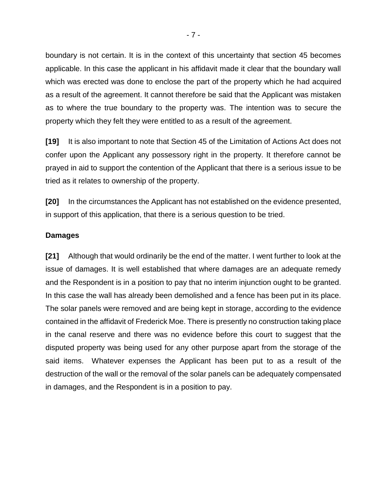boundary is not certain. It is in the context of this uncertainty that section 45 becomes applicable. In this case the applicant in his affidavit made it clear that the boundary wall which was erected was done to enclose the part of the property which he had acquired as a result of the agreement. It cannot therefore be said that the Applicant was mistaken as to where the true boundary to the property was. The intention was to secure the property which they felt they were entitled to as a result of the agreement.

**[19]** It is also important to note that Section 45 of the Limitation of Actions Act does not confer upon the Applicant any possessory right in the property. It therefore cannot be prayed in aid to support the contention of the Applicant that there is a serious issue to be tried as it relates to ownership of the property.

**[20]** In the circumstances the Applicant has not established on the evidence presented, in support of this application, that there is a serious question to be tried.

#### **Damages**

**[21]** Although that would ordinarily be the end of the matter. I went further to look at the issue of damages. It is well established that where damages are an adequate remedy and the Respondent is in a position to pay that no interim injunction ought to be granted. In this case the wall has already been demolished and a fence has been put in its place. The solar panels were removed and are being kept in storage, according to the evidence contained in the affidavit of Frederick Moe. There is presently no construction taking place in the canal reserve and there was no evidence before this court to suggest that the disputed property was being used for any other purpose apart from the storage of the said items. Whatever expenses the Applicant has been put to as a result of the destruction of the wall or the removal of the solar panels can be adequately compensated in damages, and the Respondent is in a position to pay.